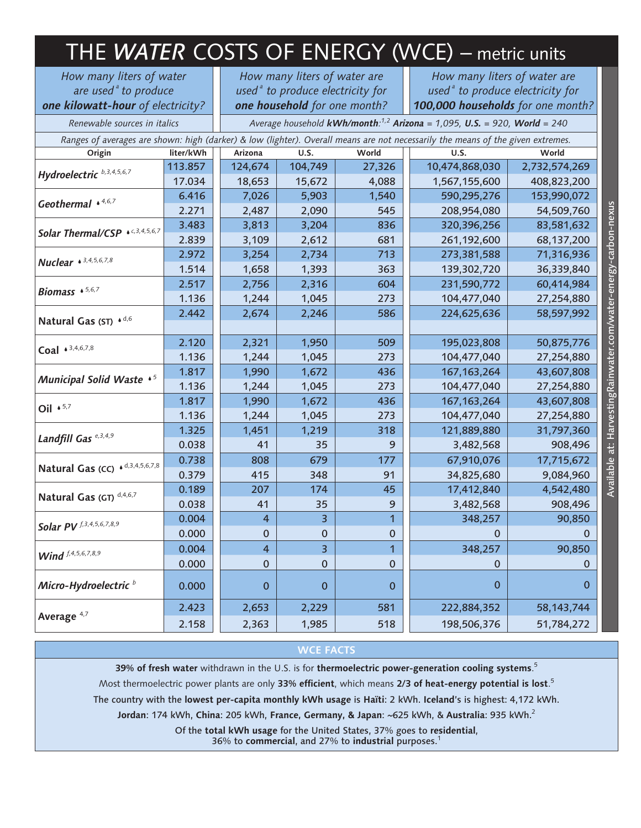| THE WATER COSTS OF ENERGY (WCE) - metric units                                                                                  |                                                                             |                                     |             |                |                                     |               |
|---------------------------------------------------------------------------------------------------------------------------------|-----------------------------------------------------------------------------|-------------------------------------|-------------|----------------|-------------------------------------|---------------|
| How many liters of water                                                                                                        |                                                                             | How many liters of water are        |             |                | How many liters of water are        |               |
| are used <sup>ª</sup> to produce                                                                                                |                                                                             | used $a$ to produce electricity for |             |                | used $a$ to produce electricity for |               |
| one kilowatt-hour of electricity?                                                                                               |                                                                             | one household for one month?        |             |                | 100,000 households for one month?   |               |
| Renewable sources in italics                                                                                                    | Average household kWh/month: $1,2$ Arizona = 1,095, U.S. = 920, World = 240 |                                     |             |                |                                     |               |
| Ranges of averages are shown: high (darker) & low (lighter). Overall means are not necessarily the means of the given extremes. |                                                                             |                                     |             |                |                                     |               |
| Origin                                                                                                                          | liter/kWh                                                                   | Arizona                             | U.S.        | World          | U.S.                                | World         |
| Hydroelectric b, 3, 4, 5, 6, 7                                                                                                  | 113.857                                                                     | 124,674                             | 104,749     | 27,326         | 10,474,868,030                      | 2,732,574,269 |
|                                                                                                                                 | 17.034                                                                      | 18,653                              | 15,672      | 4,088          | 1,567,155,600                       | 408,823,200   |
| Geothermal *4,6,7                                                                                                               | 6.416                                                                       | 7,026                               | 5,903       | 1,540          | 590,295,276                         | 153,990,072   |
|                                                                                                                                 | 2.271                                                                       | 2,487                               | 2,090       | 545            | 208,954,080                         | 54,509,760    |
| Solar Thermal/CSP * c,3,4,5,6,7                                                                                                 | 3.483                                                                       | 3,813                               | 3,204       | 836            | 320,396,256                         | 83,581,632    |
|                                                                                                                                 | 2.839                                                                       | 3,109                               | 2,612       | 681            | 261,192,600                         | 68,137,200    |
| <b>Nuclear</b> $\bullet$ 3,4,5,6,7,8                                                                                            | 2.972                                                                       | 3,254                               | 2,734       | 713            | 273,381,588                         | 71,316,936    |
|                                                                                                                                 | 1.514                                                                       | 1,658                               | 1,393       | 363            | 139,302,720                         | 36,339,840    |
| Biomass $\cdot$ 5,6,7                                                                                                           | 2.517                                                                       | 2,756                               | 2,316       | 604            | 231,590,772                         | 60,414,984    |
|                                                                                                                                 | 1.136                                                                       | 1,244                               | 1,045       | 273            | 104,477,040                         | 27,254,880    |
| Natural Gas (ST) * d,6                                                                                                          | 2.442                                                                       | 2,674                               | 2,246       | 586            | 224,625,636                         | 58,597,992    |
| Coal $*^{3,4,6,7,8}$                                                                                                            | 2.120                                                                       | 2,321                               | 1,950       | 509            | 195,023,808                         | 50,875,776    |
|                                                                                                                                 | 1.136                                                                       | 1,244                               | 1,045       | 273            | 104,477,040                         | 27,254,880    |
| Municipal Solid Waste $\cdot$ <sup>5</sup>                                                                                      | 1.817                                                                       | 1,990                               | 1,672       | 436            | 167, 163, 264                       | 43,607,808    |
|                                                                                                                                 | 1.136                                                                       | 1,244                               | 1,045       | 273            | 104,477,040                         | 27,254,880    |
| Oil $\cdot$ 5,7                                                                                                                 | 1.817                                                                       | 1,990                               | 1,672       | 436            | 167, 163, 264                       | 43,607,808    |
|                                                                                                                                 | 1.136                                                                       | 1,244                               | 1,045       | 273            | 104,477,040                         | 27,254,880    |
| Landfill Gas <sup>e, 3, 4,9</sup>                                                                                               | 1.325                                                                       | 1,451                               | 1,219       | 318            | 121,889,880                         | 31,797,360    |
|                                                                                                                                 | 0.038                                                                       | 41                                  | 35          | 9              | 3,482,568                           | 908,496       |
| Natural Gas (CC) · d,3,4,5,6,7,8                                                                                                | 0.738                                                                       | 808                                 | 679         | 177            | 67,910,076                          | 17,715,672    |
|                                                                                                                                 | 0.379                                                                       | 415                                 | 348         | 91             | 34,825,680                          | 9,084,960     |
| Natural Gas (GT) d,4,6,7                                                                                                        | 0.189                                                                       | 207                                 | 174         | 45             | 17,412,840                          | 4,542,480     |
|                                                                                                                                 | 0.038                                                                       | 41                                  | 35          | 9              | 3,482,568                           | 908,496       |
| <b>Solar PV</b> f, 3, 4, 5, 6, 7, 8, 9                                                                                          | 0.004                                                                       | $\overline{4}$                      | 3           | $\mathbf{1}$   | 348,257                             | 90,850        |
|                                                                                                                                 | 0.000                                                                       | $\mathbf 0$                         | $\bf 0$     | 0              | 0                                   | 0             |
| Wind $f, 4, 5, 6, 7, 8, 9$                                                                                                      | 0.004                                                                       | $\overline{\mathbf{4}}$             | 3           | $\overline{1}$ | 348,257                             | 90,850        |
|                                                                                                                                 | 0.000                                                                       | $\pmb{0}$                           | $\pmb{0}$   | 0              | 0                                   | 0             |
| Micro-Hydroelectric <sup>b</sup>                                                                                                | 0.000                                                                       | $\boldsymbol{0}$                    | $\mathbf 0$ | $\mathbf 0$    | $\mathbf 0$                         | $\mathbf 0$   |
| Average <sup>4,7</sup>                                                                                                          | 2.423                                                                       | 2,653                               | 2,229       | 581            | 222,884,352                         | 58, 143, 744  |
|                                                                                                                                 | 2.158                                                                       | 2,363                               | 1,985       | 518            | 198,506,376                         | 51,784,272    |

Available at: HarvestingRainwater.com/water-energy-carbon-nexus Available at: HarvestingRainwater.com/water-energy-carbon-nexus

# **WCE FACTS**

**39% of fresh water** withdrawn in the U.S. is for **thermoelectric power-generation cooling systems**. 5

Most thermoelectric power plants are only **33% efficient**, which means **2/3 of heat-energy potential is lost**. 5

The country with the **lowest per-capita monthly kWh usage** is **Haïti**: 2 kWh. **Iceland**'s is highest: 4,172 kWh.

**Jordan**: 174 kWh, **China**: 205 kWh, **France, Germany, & Japan**: ~625 kWh, & **Australia**: 935 kWh.<sup>2</sup>

Of the **total kWh usage** for the United States, 37% goes to **residential**, 36% to **commercial**, and 27% to **industrial** purposes.<sup>1</sup>